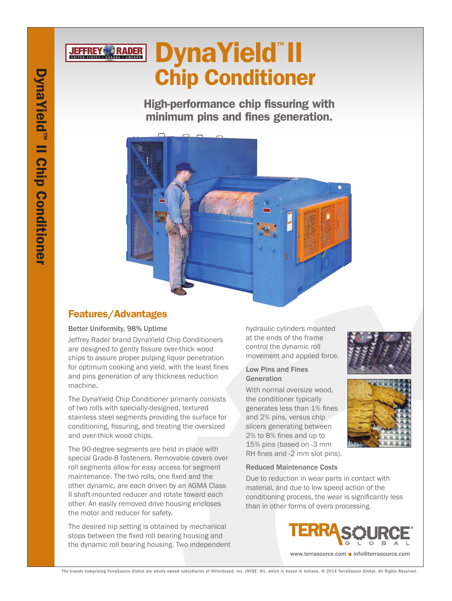# DynaYield™ II **JEFFREY RADER** Chip Conditioner

High-performance chip fissuring with minimum pins and fines generation.



# Features/Advantages

## Better Uniformity, 98% Uptime

Jeffrey Rader brand DynaYield Chip Conditioners are designed to gently fissure over-thick wood chips to assure proper pulping liquor penetration for optimum cooking and yield, with the least fines and pins generation of any thickness reduction machine.

The DynaYield Chip Conditioner primarily consists of two rolls with specially-designed, textured stainless steel segments providing the surface for conditioning, fissuring, and treating the oversized and over-thick wood chips.

The 90-degree segments are held in place with special Grade-8 fasteners. Removable covers over roll segments allow for easy access for segment maintenance. The two rolls, one fixed and the other dynamic, are each driven by an AGMA Class II shaft-mounted reducer and rotate toward each other. An easily removed drive housing encloses the motor and reducer for safety.

The desired nip setting is obtained by mechanical stops between the fixed roll bearing housing and the dynamic roll bearing housing. Two independent hydraulic cylinders mounted at the ends of the frame control the dynamic roll movement and applied force.

### Low Pins and Fines Generation

With normal oversize wood, the conditioner typically generates less than 1% fines and 2% pins, versus chip slicers generating between 2% to 8% fines and up to 15% pins (based on -3 mm RH fines and -2 mm slot pins).



Due to reduction in wear parts in contact with material, and due to low speed action of the conditioning process, the wear is significantly less than in other forms of overs processing.







The brands comprising TerraSource Global are wholly-owned subsidiaries of Hillenbrand, Inc. (NYSE: HI), which is based in Indiana. © 2014 TerraSource Global. All Rights Reserved.